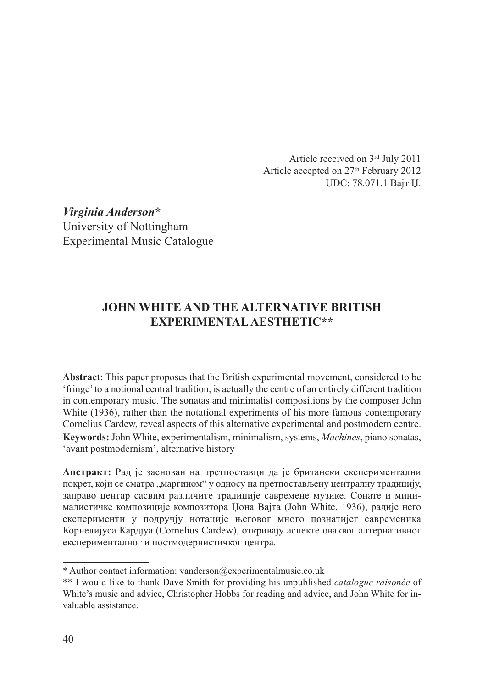Article received on 3rd July 2011 Article accepted on 27<sup>th</sup> February 2012 UDC: 78.071.1 Вајт Џ.

*Virginia Anderson***\*** University of Nottingham Experimental Music Catalogue

# **JOHN WHITE AND THE ALTERNATIVE BRITISH EXPERIMENTAL AESTHETIC\*\***

**Abstract**: This paper proposes that the British experimental movement, considered to be 'fringe' to a notional central tradition, is actually the centre of an entirely different tradition in contemporary music. The sonatas and minimalist compositions by the composer John White (1936), rather than the notational experiments of his more famous contemporary Cornelius Cardew, reveal aspects of this alternative experimental and postmodern centre. **Keywords:** John White, experimentalism, minimalism, systems, *Machines*, piano sonatas, 'avant postmodernism', alternative history

**Апстракт:** Рад је заснован на претпоставци да је британски експериментални покрет, који се сматра "маргином" у односу на претпостављену централну традицију, заправо центар сасвим различите традиције савремене музике. Сонате и мини малистичке композиције композитора Џона Вајта (John White, 1936), радије него експерименти у подручју нотације његовог много познатијег савременика Корнелијуса Кардјуа (Cornelius Cardew), oткривају аспекте оваквог алтернативног експерименталног и постмодернистичког центра.

<sup>\*</sup> Author contact information: vanderson@experimentalmusic.co.uk

<sup>\*\*</sup> I would like to thank Dave Smith for providing his unpublished *catalogue raisonée* of White's music and advice, Christopher Hobbs for reading and advice, and John White for invaluable assistance.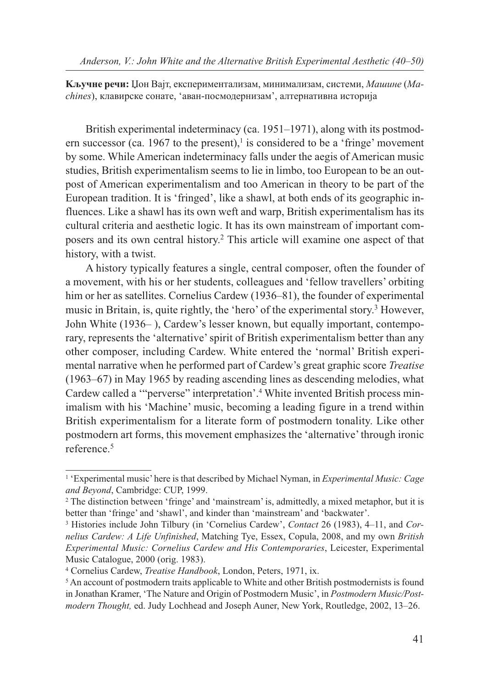**Kључне речи:** Џон Вајт, експериментализам, минимализам, системи, *Maшине* (*Machines*), клавирске сонате, 'аван-посмодернизам', алтернативна историја

British experimental indeterminacy (ca. 1951–1971), along with its postmodern successor (ca. 1967 to the present), $\frac{1}{1}$  is considered to be a 'fringe' movement by some. While American indeterminacy falls under the aegis of American music studies, British experimentalism seems to lie in limbo, too European to be an outpost of American experimentalism and too American in theory to be part of the European tradition. It is 'fringed', like a shawl, at both ends of its geographic influences. Like a shawl has its own weft and warp, British experimentalism has its cultural criteria and aesthetic logic. It has its own mainstream of important composers and its own central history.2 This article will examine one aspect of that history, with a twist.

A history typically features a single, central composer, often the founder of a movement, with his or her students, colleagues and 'fellow travellers' orbiting him or her as satellites. Cornelius Cardew (1936–81), the founder of experimental music in Britain, is, quite rightly, the 'hero' of the experimental story.3 However, John White (1936– ), Cardew's lesser known, but equally important, contemporary, represents the 'alternative' spirit of British experimentalism better than any other composer, including Cardew. White entered the 'normal' British experimental narrative when he performed part of Cardew's great graphic score *Treatise* (1963–67) in May 1965 by reading ascending lines as descending melodies, what Cardew called a '"perverse" interpretation'.4 White invented British process minimalism with his 'Machine' music, becoming a leading figure in a trend within British experimentalism for a literate form of postmodern tonality. Like other postmodern art forms, this movement emphasizes the 'alternative' through ironic reference.5

<sup>1</sup> 'Experimental music' here is that described by Michael Nyman, in *Experimental Music: Cage and Beyond*, Cambridge: CUP, 1999.

<sup>2</sup> The distinction between 'fringe' and 'mainstream' is, admittedly, a mixed metaphor, but it is better than 'fringe' and 'shawl', and kinder than 'mainstream' and 'backwater'.

<sup>3</sup> Histories include John Tilbury (in 'Cornelius Cardew', *Contact* 26 (1983), 4–11, and *Cornelius Cardew: A Life Unfinished*, Matching Tye, Essex, Copula, 2008, and my own *British Experimental Music: Cornelius Cardew and His Contemporaries*, Leicester, Experimental Music Catalogue, 2000 (orig. 1983).

<sup>4</sup> Cornelius Cardew, *Treatise Handbook*, London, Peters, 1971, ix.

<sup>&</sup>lt;sup>5</sup> An account of postmodern traits applicable to White and other British postmodernists is found in Jonathan Kramer, 'The Nature and Origin of Postmodern Music', in *Postmodern Music/Postmodern Thought,* ed. Judy Lochhead and Joseph Auner, New York, Routledge, 2002, 13–26.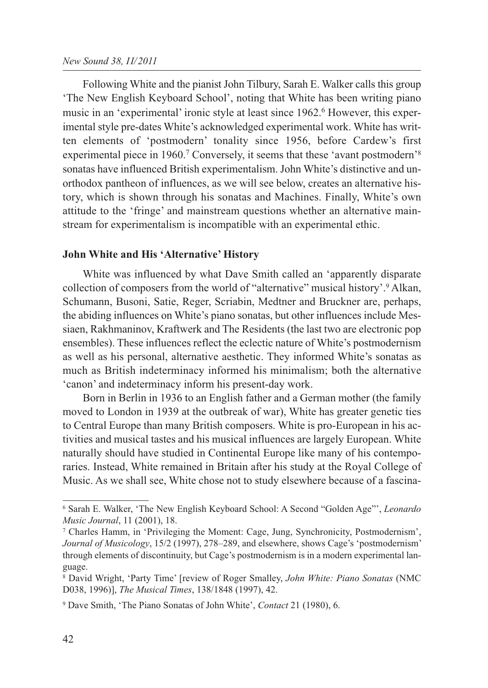Following White and the pianist John Tilbury, Sarah E. Walker calls this group 'The New English Keyboard School', noting that White has been writing piano music in an 'experimental' ironic style at least since 1962.6 However, this experimental style pre-dates White's acknowledged experimental work. White has written elements of 'postmodern' tonality since 1956, before Cardew's first experimental piece in 1960.<sup>7</sup> Conversely, it seems that these 'avant postmodern'<sup>8</sup> sonatas have influenced British experimentalism. John White's distinctive and unorthodox pantheon of influences, as we will see below, creates an alternative history, which is shown through his sonatas and Machines. Finally, White's own attitude to the 'fringe' and mainstream questions whether an alternative mainstream for experimentalism is incompatible with an experimental ethic.

### **John White and His 'Alternative' History**

White was influenced by what Dave Smith called an 'apparently disparate collection of composers from the world of "alternative" musical history'.9 Alkan, Schumann, Busoni, Satie, Reger, Scriabin, Medtner and Bruckner are, perhaps, the abiding influences on White's piano sonatas, but other influences include Messiaen, Rakhmaninov, Kraftwerk and The Residents (the last two are electronic pop ensembles). These influences reflect the eclectic nature of White's postmodernism as well as his personal, alternative aesthetic. They informed White's sonatas as much as British indeterminacy informed his minimalism; both the alternative 'canon' and indeterminacy inform his present-day work.

Born in Berlin in 1936 to an English father and a German mother (the family moved to London in 1939 at the outbreak of war), White has greater genetic ties to Central Europe than many British composers. White is pro-European in his activities and musical tastes and his musical influences are largely European. White naturally should have studied in Continental Europe like many of his contemporaries. Instead, White remained in Britain after his study at the Royal College of Music. As we shall see, White chose not to study elsewhere because of a fascina-

<sup>6</sup> Sarah E. Walker, 'The New English Keyboard School: A Second "Golden Age"', *Leonardo Music Journal*, 11 (2001), 18.

<sup>7</sup> Charles Hamm, in 'Privileging the Moment: Cage, Jung, Synchronicity, Postmodernism', *Journal of Musicology*, 15/2 (1997), 278–289, and elsewhere, shows Cage's 'postmodernism' through elements of discontinuity, but Cage's postmodernism is in a modern experimental language.

<sup>8</sup> David Wright, 'Party Time' [review of Roger Smalley, *John White: Piano Sonatas* (NMC D038, 1996)], *The Musical Times*, 138/1848 (1997), 42.

<sup>9</sup> Dave Smith, 'The Piano Sonatas of John White', *Contact* 21 (1980), 6.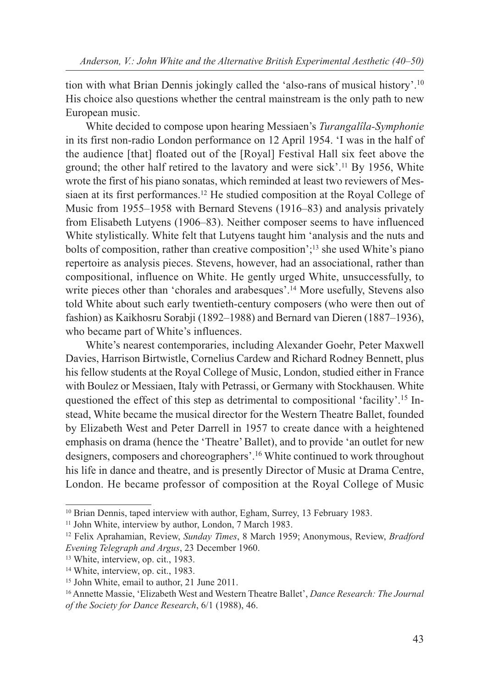tion with what Brian Dennis jokingly called the 'also-rans of musical history'.10 His choice also questions whether the central mainstream is the only path to new European music.

White decided to compose upon hearing Messiaen's *Turangalîla-Symphonie* in its first non-radio London performance on 12 April 1954. 'I was in the half of the audience [that] floated out of the [Royal] Festival Hall six feet above the ground; the other half retired to the lavatory and were sick'.11 By 1956, White wrote the first of his piano sonatas, which reminded at least two reviewers of Messiaen at its first performances.12 He studied composition at the Royal College of Music from 1955–1958 with Bernard Stevens (1916–83) and analysis privately from Elisabeth Lutyens (1906–83). Neither composer seems to have influenced White stylistically. White felt that Lutyens taught him 'analysis and the nuts and bolts of composition, rather than creative composition';13 she used White's piano repertoire as analysis pieces. Stevens, however, had an associational, rather than compositional, influence on White. He gently urged White, unsuccessfully, to write pieces other than 'chorales and arabesques'.<sup>14</sup> More usefully, Stevens also told White about such early twentieth-century composers (who were then out of fashion) as Kaikhosru Sorabji (1892–1988) and Bernard van Dieren (1887–1936), who became part of White's influences.

White's nearest contemporaries, including Alexander Goehr, Peter Maxwell Davies, Harrison Birtwistle, Cornelius Cardew and Richard Rodney Bennett, plus his fellow students at the Royal College of Music, London, studied either in France with Boulez or Messiaen, Italy with Petrassi, or Germany with Stockhausen. White questioned the effect of this step as detrimental to compositional 'facility'.<sup>15</sup> Instead, White became the musical director for the Western Theatre Ballet, founded by Elizabeth West and Peter Darrell in 1957 to create dance with a heightened emphasis on drama (hence the 'Theatre' Ballet), and to provide 'an outlet for new designers, composers and choreographers'.16 White continued to work throughout his life in dance and theatre, and is presently Director of Music at Drama Centre, London. He became professor of composition at the Royal College of Music

<sup>&</sup>lt;sup>10</sup> Brian Dennis, taped interview with author, Egham, Surrey, 13 February 1983.

<sup>&</sup>lt;sup>11</sup> John White, interview by author, London, 7 March 1983.

<sup>12</sup> Felix Aprahamian, Review, *Sunday Times*, 8 March 1959; Anonymous, Review, *Bradford Evening Telegraph and Argus*, 23 December 1960.

<sup>13</sup> White, interview, op. cit., 1983.

<sup>&</sup>lt;sup>14</sup> White, interview, op. cit., 1983.

<sup>&</sup>lt;sup>15</sup> John White, email to author, 21 June 2011.

<sup>16</sup> Annette Massie, 'Elizabeth West and Western Theatre Ballet', *Dance Research: The Journal of the Society for Dance Research*, 6/1 (1988), 46.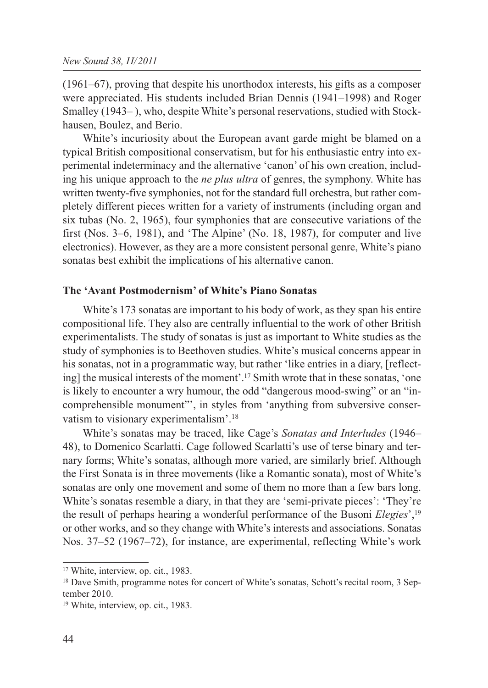(1961–67), proving that despite his unorthodox interests, his gifts as a composer were appreciated. His students included Brian Dennis (1941–1998) and Roger Smalley (1943– ), who, despite White's personal reservations, studied with Stockhausen, Boulez, and Berio.

White's incuriosity about the European avant garde might be blamed on a typical British compositional conservatism, but for his enthusiastic entry into experimental indeterminacy and the alternative 'canon' of his own creation, including his unique approach to the *ne plus ultra* of genres, the symphony. White has written twenty-five symphonies, not for the standard full orchestra, but rather completely different pieces written for a variety of instruments (including organ and six tubas (No. 2, 1965), four symphonies that are consecutive variations of the first (Nos. 3–6, 1981), and 'The Alpine' (No. 18, 1987), for computer and live electronics). However, as they are a more consistent personal genre, White's piano sonatas best exhibit the implications of his alternative canon.

#### **The 'Avant Postmodernism' of White's Piano Sonatas**

White's 173 sonatas are important to his body of work, as they span his entire compositional life. They also are centrally influential to the work of other British experimentalists. The study of sonatas is just as important to White studies as the study of symphonies is to Beethoven studies. White's musical concerns appear in his sonatas, not in a programmatic way, but rather 'like entries in a diary, [reflecting] the musical interests of the moment'.17 Smith wrote that in these sonatas, 'one is likely to encounter a wry humour, the odd "dangerous mood-swing" or an "incomprehensible monument"', in styles from 'anything from subversive conservatism to visionary experimentalism'.18

White's sonatas may be traced, like Cage's *Sonatas and Interludes* (1946– 48), to Domenico Scarlatti. Cage followed Scarlatti's use of terse binary and ternary forms; White's sonatas, although more varied, are similarly brief. Although the First Sonata is in three movements (like a Romantic sonata), most of White's sonatas are only one movement and some of them no more than a few bars long. White's sonatas resemble a diary, in that they are 'semi-private pieces': 'They're the result of perhaps hearing a wonderful performance of the Busoni *Elegies*',19 or other works, and so they change with White's interests and associations. Sonatas Nos. 37–52 (1967–72), for instance, are experimental, reflecting White's work

<sup>17</sup> White, interview, op. cit., 1983.

<sup>&</sup>lt;sup>18</sup> Dave Smith, programme notes for concert of White's sonatas, Schott's recital room, 3 September 2010.

<sup>&</sup>lt;sup>19</sup> White, interview, op. cit., 1983.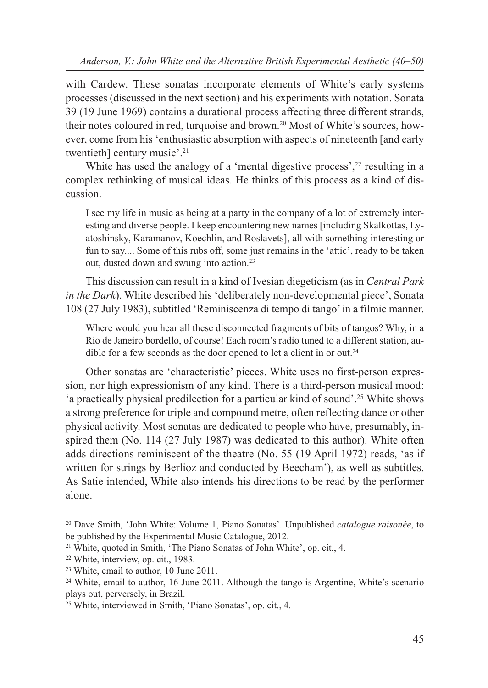*Anderson, V.: John White and the Alternative British Experimental Aesthetic (40–50)*

with Cardew. These sonatas incorporate elements of White's early systems processes (discussed in the next section) and his experiments with notation. Sonata 39 (19 June 1969) contains a durational process affecting three different strands, their notes coloured in red, turquoise and brown.20 Most of White's sources, however, come from his 'enthusiastic absorption with aspects of nineteenth [and early twentieth] century music'.21

White has used the analogy of a 'mental digestive process',<sup>22</sup> resulting in a complex rethinking of musical ideas. He thinks of this process as a kind of discussion.

I see my life in music as being at a party in the company of a lot of extremely interesting and diverse people. I keep encountering new names [including Skalkottas, Lyatoshinsky, Karamanov, Koechlin, and Roslavets], all with something interesting or fun to say.... Some of this rubs off, some just remains in the 'attic', ready to be taken out, dusted down and swung into action.23

This discussion can result in a kind of Ivesian diegeticism (as in *Central Park in the Dark*). White described his 'deliberately non-developmental piece', Sonata 108 (27 July 1983), subtitled 'Reminiscenza di tempo di tango' in a filmic manner.

Where would you hear all these disconnected fragments of bits of tangos? Why, in a Rio de Janeiro bordello, of course! Each room's radio tuned to a different station, audible for a few seconds as the door opened to let a client in or out.<sup>24</sup>

Other sonatas are 'characteristic' pieces. White uses no first-person expression, nor high expressionism of any kind. There is a third-person musical mood: 'a practically physical predilection for a particular kind of sound'.25 White shows a strong preference for triple and compound metre, often reflecting dance or other physical activity. Most sonatas are dedicated to people who have, presumably, inspired them (No. 114 (27 July 1987) was dedicated to this author). White often adds directions reminiscent of the theatre (No. 55 (19 April 1972) reads, 'as if written for strings by Berlioz and conducted by Beecham'), as well as subtitles. As Satie intended, White also intends his directions to be read by the performer alone.

<sup>20</sup> Dave Smith, 'John White: Volume 1, Piano Sonatas'. Unpublished *catalogue raisonée*, to be published by the Experimental Music Catalogue, 2012.

<sup>21</sup> White, quoted in Smith, 'The Piano Sonatas of John White', op. cit*.*, 4.

<sup>22</sup> White, interview, op. cit., 1983.

<sup>23</sup> White, email to author, 10 June 2011.

<sup>&</sup>lt;sup>24</sup> White, email to author, 16 June 2011. Although the tango is Argentine, White's scenario plays out, perversely, in Brazil.

<sup>25</sup> White, interviewed in Smith, 'Piano Sonatas', op. cit., 4.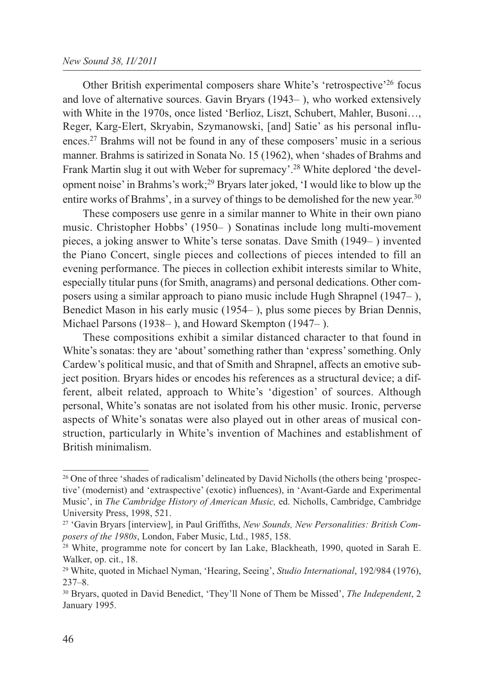#### *New Sound 38, II/2011*

Other British experimental composers share White's 'retrospective'26 focus and love of alternative sources. Gavin Bryars (1943– ), who worked extensively with White in the 1970s, once listed 'Berlioz, Liszt, Schubert, Mahler, Busoni…, Reger, Karg-Elert, Skryabin, Szymanowski, [and] Satie' as his personal influences.27 Brahms will not be found in any of these composers' music in a serious manner. Brahms is satirized in Sonata No. 15 (1962), when 'shades of Brahms and Frank Martin slug it out with Weber for supremacy'.28 White deplored 'the development noise' in Brahms's work;29 Bryars later joked, 'I would like to blow up the entire works of Brahms', in a survey of things to be demolished for the new year.<sup>30</sup>

These composers use genre in a similar manner to White in their own piano music. Christopher Hobbs' (1950– ) Sonatinas include long multi-movement pieces, a joking answer to White's terse sonatas. Dave Smith (1949– ) invented the Piano Concert, single pieces and collections of pieces intended to fill an evening performance. The pieces in collection exhibit interests similar to White, especially titular puns (for Smith, anagrams) and personal dedications. Other composers using a similar approach to piano music include Hugh Shrapnel (1947– ), Benedict Mason in his early music (1954– ), plus some pieces by Brian Dennis, Michael Parsons (1938– ), and Howard Skempton (1947– ).

These compositions exhibit a similar distanced character to that found in White's sonatas: they are 'about' something rather than 'express' something. Only Cardew's political music, and that of Smith and Shrapnel, affects an emotive subject position. Bryars hides or encodes his references as a structural device; a different, albeit related, approach to White's 'digestion' of sources. Although personal, White's sonatas are not isolated from his other music. Ironic, perverse aspects of White's sonatas were also played out in other areas of musical construction, particularly in White's invention of Machines and establishment of British minimalism.

<sup>&</sup>lt;sup>26</sup> One of three 'shades of radicalism' delineated by David Nicholls (the others being 'prospective' (modernist) and 'extraspective' (exotic) influences), in 'Avant-Garde and Experimental Music', in *The Cambridge History of American Music,* ed. Nicholls, Cambridge, Cambridge University Press, 1998, 521.

<sup>27</sup> 'Gavin Bryars [interview], in Paul Griffiths, *New Sounds, New Personalities: British Composers of the 1980s*, London, Faber Music, Ltd., 1985, 158.

<sup>&</sup>lt;sup>28</sup> White, programme note for concert by Ian Lake, Blackheath, 1990, quoted in Sarah E. Walker, op. cit., 18.

<sup>29</sup> White, quoted in Michael Nyman, 'Hearing, Seeing', *Studio International*, 192/984 (1976), 237–8.

<sup>30</sup> Bryars, quoted in David Benedict, 'They'll None of Them be Missed', *The Independent*, 2 January 1995.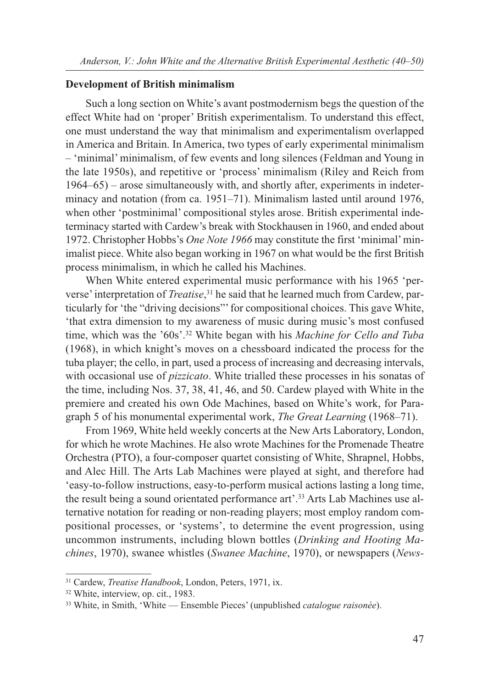#### **Development of British minimalism**

Such a long section on White's avant postmodernism begs the question of the effect White had on 'proper' British experimentalism. To understand this effect, one must understand the way that minimalism and experimentalism overlapped in America and Britain. In America, two types of early experimental minimalism – 'minimal' minimalism, of few events and long silences (Feldman and Young in the late 1950s), and repetitive or 'process' minimalism (Riley and Reich from 1964–65) – arose simultaneously with, and shortly after, experiments in indeterminacy and notation (from ca. 1951–71). Minimalism lasted until around 1976, when other 'postminimal' compositional styles arose. British experimental indeterminacy started with Cardew's break with Stockhausen in 1960, and ended about 1972. Christopher Hobbs's *One Note 1966* may constitute the first 'minimal' minimalist piece. White also began working in 1967 on what would be the first British process minimalism, in which he called his Machines.

When White entered experimental music performance with his 1965 'perverse' interpretation of *Treatise*, <sup>31</sup> he said that he learned much from Cardew, particularly for 'the "driving decisions"' for compositional choices. This gave White, 'that extra dimension to my awareness of music during music's most confused time, which was the '60s'.32 White began with his *Machine for Cello and Tuba* (1968), in which knight's moves on a chessboard indicated the process for the tuba player; the cello, in part, used a process of increasing and decreasing intervals, with occasional use of *pizzicato*. White trialled these processes in his sonatas of the time, including Nos. 37, 38, 41, 46, and 50. Cardew played with White in the premiere and created his own Ode Machines, based on White's work, for Paragraph 5 of his monumental experimental work, *The Great Learning* (1968–71).

From 1969, White held weekly concerts at the New Arts Laboratory, London, for which he wrote Machines. He also wrote Machines for the Promenade Theatre Orchestra (PTO), a four-composer quartet consisting of White, Shrapnel, Hobbs, and Alec Hill. The Arts Lab Machines were played at sight, and therefore had 'easy-to-follow instructions, easy-to-perform musical actions lasting a long time, the result being a sound orientated performance art'.33 Arts Lab Machines use alternative notation for reading or non-reading players; most employ random compositional processes, or 'systems', to determine the event progression, using uncommon instruments, including blown bottles (*Drinking and Hooting Machines*, 1970), swanee whistles (*Swanee Machine*, 1970), or newspapers (*News-*

<sup>31</sup> Cardew, *Treatise Handbook*, London, Peters, 1971, ix.

<sup>32</sup> White, interview, op. cit., 1983.

<sup>33</sup> White, in Smith, 'White — Ensemble Pieces' (unpublished *catalogue raisonée*).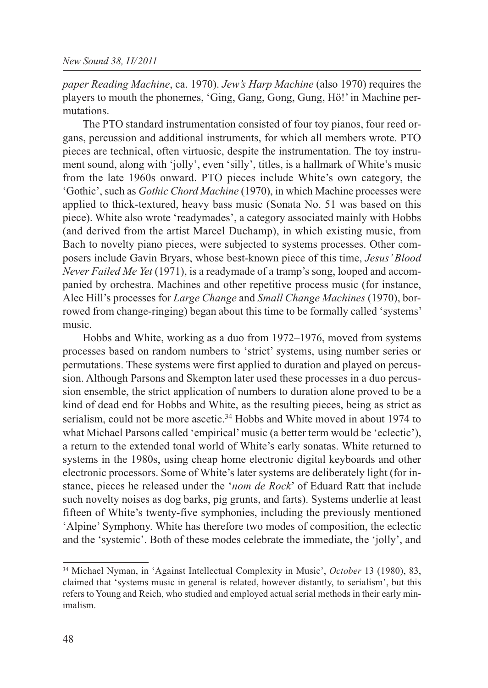*paper Reading Machine*, ca. 1970). *Jew's Harp Machine* (also 1970) requires the players to mouth the phonemes, 'Ging, Gang, Gong, Gung, Hö!' in Machine permutations.

The PTO standard instrumentation consisted of four toy pianos, four reed organs, percussion and additional instruments, for which all members wrote. PTO pieces are technical, often virtuosic, despite the instrumentation. The toy instrument sound, along with 'jolly', even 'silly', titles, is a hallmark of White's music from the late 1960s onward. PTO pieces include White's own category, the 'Gothic', such as *Gothic Chord Machine* (1970), in which Machine processes were applied to thick-textured, heavy bass music (Sonata No. 51 was based on this piece). White also wrote 'readymades', a category associated mainly with Hobbs (and derived from the artist Marcel Duchamp), in which existing music, from Bach to novelty piano pieces, were subjected to systems processes. Other composers include Gavin Bryars, whose best-known piece of this time, *Jesus' Blood Never Failed Me Yet* (1971), is a readymade of a tramp's song, looped and accompanied by orchestra. Machines and other repetitive process music (for instance, Alec Hill's processes for *Large Change* and *Small Change Machines* (1970), borrowed from change-ringing) began about this time to be formally called 'systems' music.

Hobbs and White, working as a duo from 1972–1976, moved from systems processes based on random numbers to 'strict' systems, using number series or permutations. These systems were first applied to duration and played on percussion. Although Parsons and Skempton later used these processes in a duo percussion ensemble, the strict application of numbers to duration alone proved to be a kind of dead end for Hobbs and White, as the resulting pieces, being as strict as serialism, could not be more ascetic.34 Hobbs and White moved in about 1974 to what Michael Parsons called 'empirical' music (a better term would be 'eclectic'), a return to the extended tonal world of White's early sonatas. White returned to systems in the 1980s, using cheap home electronic digital keyboards and other electronic processors. Some of White's later systems are deliberately light (for instance, pieces he released under the '*nom de Rock*' of Eduard Ratt that include such novelty noises as dog barks, pig grunts, and farts). Systems underlie at least fifteen of White's twenty-five symphonies, including the previously mentioned 'Alpine' Symphony. White has therefore two modes of composition, the eclectic and the 'systemic'. Both of these modes celebrate the immediate, the 'jolly', and

<sup>34</sup> Michael Nyman, in 'Against Intellectual Complexity in Music', *October* 13 (1980), 83, claimed that 'systems music in general is related, however distantly, to serialism', but this refers to Young and Reich, who studied and employed actual serial methods in their early minimalism.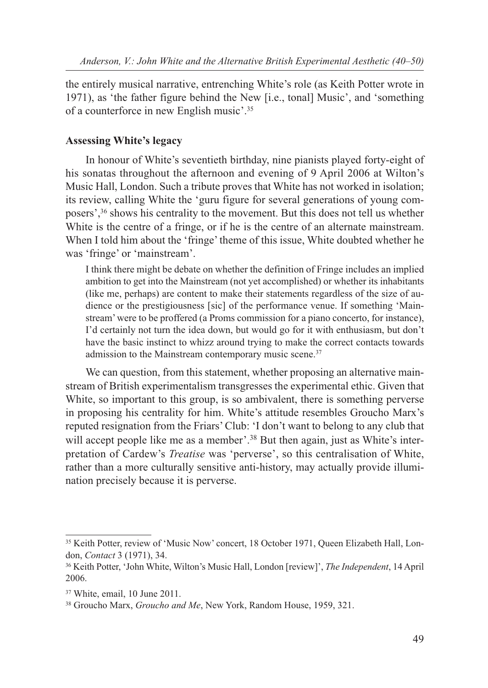the entirely musical narrative, entrenching White's role (as Keith Potter wrote in 1971), as 'the father figure behind the New [i.e., tonal] Music', and 'something of a counterforce in new English music'.35

## **Assessing White's legacy**

In honour of White's seventieth birthday, nine pianists played forty-eight of his sonatas throughout the afternoon and evening of 9 April 2006 at Wilton's Music Hall, London. Such a tribute proves that White has not worked in isolation; its review, calling White the 'guru figure for several generations of young composers',36 shows his centrality to the movement. But this does not tell us whether White is the centre of a fringe, or if he is the centre of an alternate mainstream. When I told him about the 'fringe' theme of this issue, White doubted whether he was 'fringe' or 'mainstream'.

I think there might be debate on whether the definition of Fringe includes an implied ambition to get into the Mainstream (not yet accomplished) or whether its inhabitants (like me, perhaps) are content to make their statements regardless of the size of audience or the prestigiousness [sic] of the performance venue. If something 'Mainstream' were to be proffered (a Proms commission for a piano concerto, for instance), I'd certainly not turn the idea down, but would go for it with enthusiasm, but don't have the basic instinct to whizz around trying to make the correct contacts towards admission to the Mainstream contemporary music scene.<sup>37</sup>

We can question, from this statement, whether proposing an alternative mainstream of British experimentalism transgresses the experimental ethic. Given that White, so important to this group, is so ambivalent, there is something perverse in proposing his centrality for him. White's attitude resembles Groucho Marx's reputed resignation from the Friars' Club: 'I don't want to belong to any club that will accept people like me as a member'.<sup>38</sup> But then again, just as White's interpretation of Cardew's *Treatise* was 'perverse', so this centralisation of White, rather than a more culturally sensitive anti-history, may actually provide illumination precisely because it is perverse.

<sup>35</sup> Keith Potter, review of 'Music Now' concert, 18 October 1971, Queen Elizabeth Hall, London, *Contact* 3 (1971), 34.

<sup>36</sup> Keith Potter, 'John White, Wilton's Music Hall, London [review]', *The Independent*, 14 April 2006.

<sup>37</sup> White, email, 10 June 2011.

<sup>38</sup> Groucho Marx, *Groucho and Me*, New York, Random House, 1959, 321.